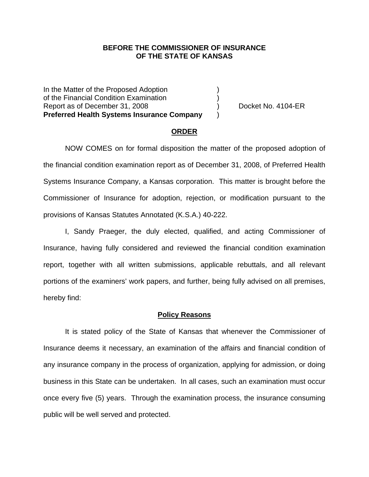### **BEFORE THE COMMISSIONER OF INSURANCE OF THE STATE OF KANSAS**

In the Matter of the Proposed Adoption of the Financial Condition Examination ) Report as of December 31, 2008 (a) Docket No. 4104-ER **Preferred Health Systems Insurance Company** )

#### **ORDER**

 NOW COMES on for formal disposition the matter of the proposed adoption of the financial condition examination report as of December 31, 2008, of Preferred Health Systems Insurance Company, a Kansas corporation. This matter is brought before the Commissioner of Insurance for adoption, rejection, or modification pursuant to the provisions of Kansas Statutes Annotated (K.S.A.) 40-222.

 I, Sandy Praeger, the duly elected, qualified, and acting Commissioner of Insurance, having fully considered and reviewed the financial condition examination report, together with all written submissions, applicable rebuttals, and all relevant portions of the examiners' work papers, and further, being fully advised on all premises, hereby find:

#### **Policy Reasons**

 It is stated policy of the State of Kansas that whenever the Commissioner of Insurance deems it necessary, an examination of the affairs and financial condition of any insurance company in the process of organization, applying for admission, or doing business in this State can be undertaken. In all cases, such an examination must occur once every five (5) years. Through the examination process, the insurance consuming public will be well served and protected.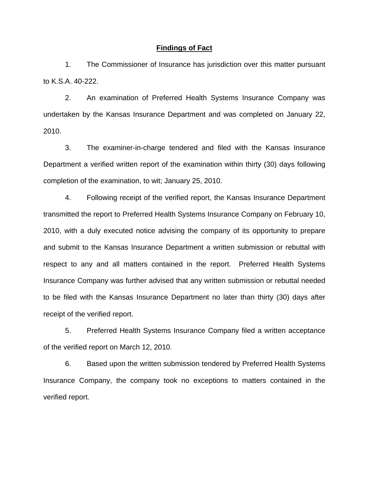#### **Findings of Fact**

 1. The Commissioner of Insurance has jurisdiction over this matter pursuant to K.S.A. 40-222.

 2. An examination of Preferred Health Systems Insurance Company was undertaken by the Kansas Insurance Department and was completed on January 22, 2010.

 3. The examiner-in-charge tendered and filed with the Kansas Insurance Department a verified written report of the examination within thirty (30) days following completion of the examination, to wit; January 25, 2010.

 4. Following receipt of the verified report, the Kansas Insurance Department transmitted the report to Preferred Health Systems Insurance Company on February 10, 2010, with a duly executed notice advising the company of its opportunity to prepare and submit to the Kansas Insurance Department a written submission or rebuttal with respect to any and all matters contained in the report. Preferred Health Systems Insurance Company was further advised that any written submission or rebuttal needed to be filed with the Kansas Insurance Department no later than thirty (30) days after receipt of the verified report.

 5. Preferred Health Systems Insurance Company filed a written acceptance of the verified report on March 12, 2010.

6. Based upon the written submission tendered by Preferred Health Systems Insurance Company, the company took no exceptions to matters contained in the verified report.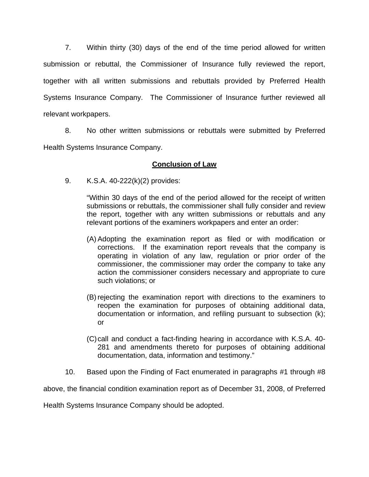7. Within thirty (30) days of the end of the time period allowed for written submission or rebuttal, the Commissioner of Insurance fully reviewed the report, together with all written submissions and rebuttals provided by Preferred Health Systems Insurance Company. The Commissioner of Insurance further reviewed all relevant workpapers.

 8. No other written submissions or rebuttals were submitted by Preferred Health Systems Insurance Company.

## **Conclusion of Law**

9. K.S.A. 40-222(k)(2) provides:

"Within 30 days of the end of the period allowed for the receipt of written submissions or rebuttals, the commissioner shall fully consider and review the report, together with any written submissions or rebuttals and any relevant portions of the examiners workpapers and enter an order:

- (A) Adopting the examination report as filed or with modification or corrections. If the examination report reveals that the company is operating in violation of any law, regulation or prior order of the commissioner, the commissioner may order the company to take any action the commissioner considers necessary and appropriate to cure such violations; or
- (B) rejecting the examination report with directions to the examiners to reopen the examination for purposes of obtaining additional data, documentation or information, and refiling pursuant to subsection (k); or
- (C) call and conduct a fact-finding hearing in accordance with K.S.A. 40- 281 and amendments thereto for purposes of obtaining additional documentation, data, information and testimony."
- 10. Based upon the Finding of Fact enumerated in paragraphs #1 through #8

above, the financial condition examination report as of December 31, 2008, of Preferred

Health Systems Insurance Company should be adopted.